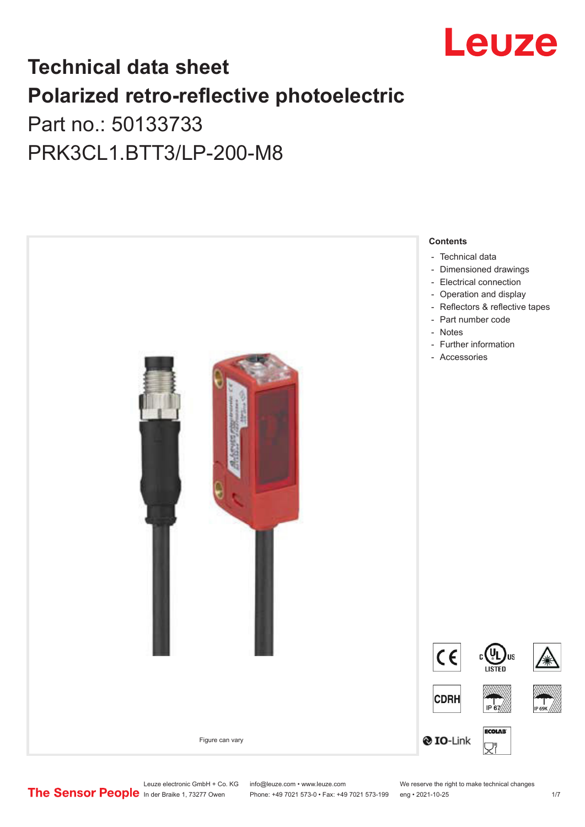

## **Technical data sheet Polarized retro-reflective photoelectric**  Part no.: 50133733

PRK3CL1.BTT3/LP-200-M8



Leuze electronic GmbH + Co. KG info@leuze.com • www.leuze.com We reserve the right to make technical changes<br> **The Sensor People** In der Braike 1, 73277 Owen Phone: +49 7021 573-0 • Fax: +49 7021 573-199 eng • 2021-10-25

Phone: +49 7021 573-0 • Fax: +49 7021 573-199 eng • 2021-10-25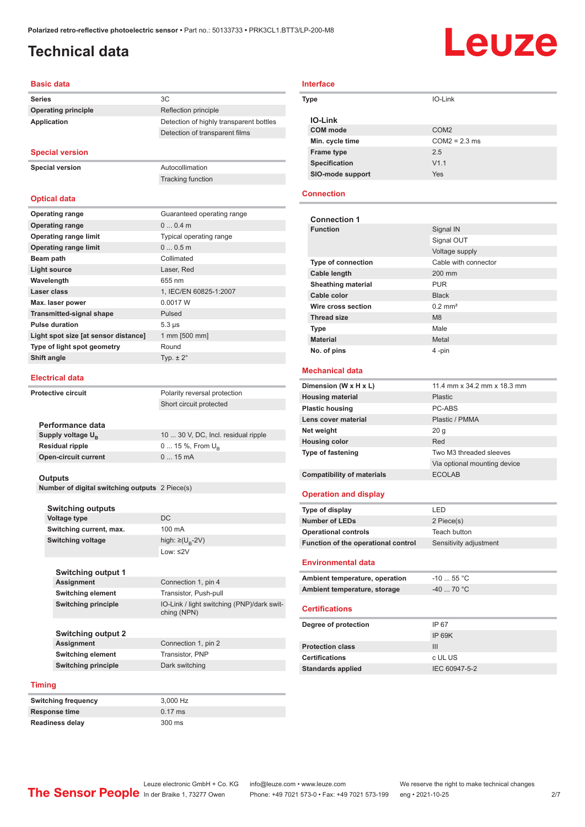**Operating principle** Reflection principle

Tracking function

**Detection of highly transparent bottles** Detection of transparent films

## <span id="page-1-0"></span>**Technical data**

# Leuze

#### **Basic data**

| <b>Series</b>              |    |
|----------------------------|----|
| <b>Operating principle</b> | Re |
| Application                | )e |

#### **Special version**

**Special version** Autocollimation

**Optical data**

| <b>Operating range</b>               | Guaranteed operating range |
|--------------------------------------|----------------------------|
| <b>Operating range</b>               | $00.4$ m                   |
| <b>Operating range limit</b>         | Typical operating range    |
| <b>Operating range limit</b>         | 00.5m                      |
| Beam path                            | Collimated                 |
| <b>Light source</b>                  | Laser, Red                 |
| Wavelength                           | 655 nm                     |
| Laser class                          | 1, IEC/EN 60825-1:2007     |
| Max. laser power                     | 0.0017 W                   |
| <b>Transmitted-signal shape</b>      | Pulsed                     |
| <b>Pulse duration</b>                | $5.3 \,\mu s$              |
| Light spot size [at sensor distance] | 1 mm [500 mm]              |
| Type of light spot geometry          | Round                      |
| Shift angle                          | Typ. $\pm 2^{\circ}$       |

#### **Electrical data**

| <b>Protective circuit</b> |                             | Polarity reversal protection        |
|---------------------------|-----------------------------|-------------------------------------|
|                           |                             | Short circuit protected             |
|                           |                             |                                     |
|                           | Performance data            |                                     |
|                           | Supply voltage $U_{B}$      | 10  30 V, DC, Incl. residual ripple |
|                           | <b>Residual ripple</b>      | $0 15 \%$ , From $U_{\rm B}$        |
|                           | <b>Open-circuit current</b> | $015$ mA                            |
|                           |                             |                                     |

#### **Outputs**

**Number of digital switching outputs** 2 Piece(s)

| <b>Switching outputs</b> |                                   |
|--------------------------|-----------------------------------|
| <b>Voltage type</b>      | DC.                               |
| Switching current, max.  | $100 \text{ mA}$                  |
| <b>Switching voltage</b> | high: $\geq$ (U <sub>R</sub> -2V) |
|                          | Low: $\leq$ 2V                    |
|                          |                                   |

**Connection 1, pin 4 Switching element** Transistor, Push-pull

ching (NPN)

**IO-Link / light switching (PNP)/dark swit-**

| <b>Switching output 1</b>  |
|----------------------------|
| <b>Assignment</b>          |
| <b>Switching element</b>   |
| <b>Switching principle</b> |

**Switching output 2 Assignment** Connection 1, pin 2<br> **Switching element** Transistor, PNP **Switching element Switching principle** Dark switching

#### **Timing**

| 3.000 Hz          |
|-------------------|
| $0.17 \text{ ms}$ |
| 300 ms            |
|                   |

| <b>Interface</b> |                  |  |
|------------------|------------------|--|
| Type             | IO-Link          |  |
| <b>IO-Link</b>   |                  |  |
| <b>COM</b> mode  | COM <sub>2</sub> |  |
| Min. cycle time  | $COM2 = 2.3$ ms  |  |
| Frame type       | 2.5              |  |
| Specification    | V1.1             |  |
| SIO-mode support | Yes              |  |

#### **Connection**

| <b>Connection 1</b>                 |                              |
|-------------------------------------|------------------------------|
| <b>Function</b>                     | Signal IN                    |
|                                     | Signal OUT                   |
|                                     | Voltage supply               |
| <b>Type of connection</b>           | Cable with connector         |
| <b>Cable length</b>                 | $200 \text{ mm}$             |
| <b>Sheathing material</b>           | PUR                          |
| Cable color                         | <b>Black</b>                 |
| Wire cross section                  | $0.2$ mm <sup>2</sup>        |
| <b>Thread size</b>                  | M8                           |
| <b>Type</b>                         | Male                         |
| <b>Material</b>                     | Metal                        |
| No. of pins                         | 4-pin                        |
|                                     |                              |
| Mechanical data                     |                              |
| Dimension (W x H x L)               | 11.4 mm x 34.2 mm x 18.3 mm  |
| <b>Housing material</b>             | Plastic                      |
| <b>Plastic housing</b>              | PC-ARS                       |
| Lens cover material                 | Plastic / PMMA               |
| Net weight                          | 20q                          |
| <b>Housing color</b>                | Red                          |
| Type of fastening                   | Two M3 threaded sleeves      |
|                                     | Via optional mounting device |
| <b>Compatibility of materials</b>   | <b>ECOLAB</b>                |
| <b>Operation and display</b>        |                              |
|                                     |                              |
| Type of display                     | LED                          |
| <b>Number of LEDs</b>               | 2 Piece(s)                   |
| <b>Operational controls</b>         | Teach button                 |
| Function of the operational control | Sensitivity adjustment       |
|                                     |                              |

#### **Environmental data**

| Ambient temperature, operation | $-10$ 55 °C .                    |
|--------------------------------|----------------------------------|
| Ambient temperature, storage   | $-40$ 70 $^{\circ}$ C $^{\circ}$ |

#### **Certifications**

| Degree of protection     | IP 67         |
|--------------------------|---------------|
|                          | IP 69K        |
| <b>Protection class</b>  | Ш             |
| <b>Certifications</b>    | c UL US       |
| <b>Standards applied</b> | IEC 60947-5-2 |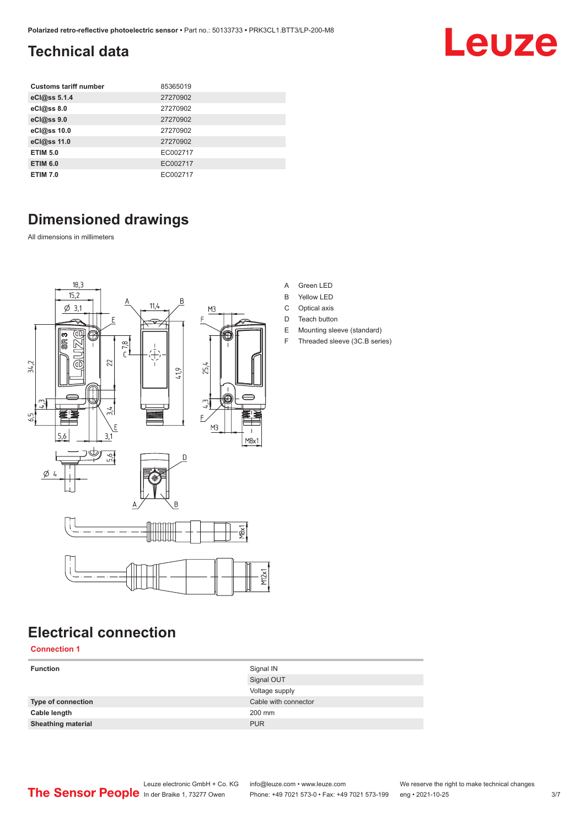## <span id="page-2-0"></span>**Technical data**

| <b>Customs tariff number</b> | 85365019 |
|------------------------------|----------|
| eCl@ss 5.1.4                 | 27270902 |
| eCl@ss 8.0                   | 27270902 |
| eCl@ss 9.0                   | 27270902 |
| eCl@ss 10.0                  | 27270902 |
| eCl@ss 11.0                  | 27270902 |
| <b>ETIM 5.0</b>              | EC002717 |
| <b>ETIM 6.0</b>              | EC002717 |
| <b>ETIM 7.0</b>              | EC002717 |

## **Dimensioned drawings**

All dimensions in millimeters



## **Electrical connection**

**Connection 1**

| <b>Function</b>           | Signal IN<br>Signal OUT |
|---------------------------|-------------------------|
|                           | Voltage supply          |
| <b>Type of connection</b> | Cable with connector    |
| Cable length              | 200 mm                  |
| <b>Sheathing material</b> | <b>PUR</b>              |
|                           |                         |

| Green LED |  |
|-----------|--|
|           |  |

- B Yellow LED
- C Optical axis
- D Teach button
- E Mounting sleeve (standard)
- F Threaded sleeve (3C.B series)

Leuze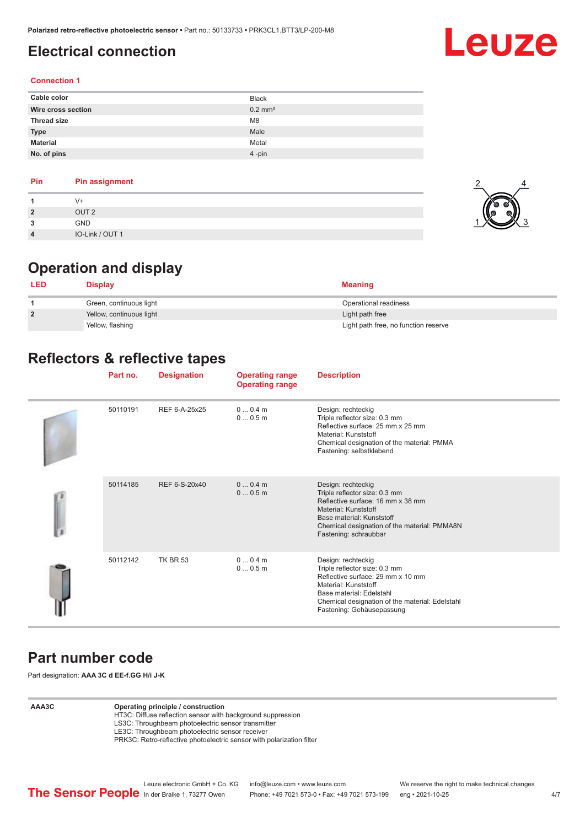## <span id="page-3-0"></span>**Electrical connection**

## Leuze

#### **Connection 1**

| Cable color        | <b>Black</b>          |
|--------------------|-----------------------|
| Wire cross section | $0.2$ mm <sup>2</sup> |
| <b>Thread size</b> | M <sub>8</sub>        |
| <b>Type</b>        | Male                  |
| <b>Material</b>    | Metal                 |
| No. of pins        | $4$ -pin              |

#### **Pin Pin assignment**

|                | $(1 +$           |  |
|----------------|------------------|--|
| $\overline{2}$ | OUT <sub>2</sub> |  |
| ໍາ             | <b>GND</b>       |  |
| 4              | IO-Link / OUT 1  |  |

## **Operation and display**

| <b>LED</b>     | <b>Display</b>           | <b>Meaning</b>                       |
|----------------|--------------------------|--------------------------------------|
|                | Green, continuous light  | Operational readiness                |
| $\overline{2}$ | Yellow, continuous light | Light path free                      |
|                | Yellow, flashing         | Light path free, no function reserve |

## **Reflectors & reflective tapes**

|  | Part no. | <b>Designation</b> | <b>Operating range</b><br><b>Operating range</b> | <b>Description</b>                                                                                                                                                                                                           |
|--|----------|--------------------|--------------------------------------------------|------------------------------------------------------------------------------------------------------------------------------------------------------------------------------------------------------------------------------|
|  | 50110191 | REF 6-A-25x25      | $00.4$ m<br>00.5m                                | Design: rechteckig<br>Triple reflector size: 0.3 mm<br>Reflective surface: 25 mm x 25 mm<br>Material: Kunststoff<br>Chemical designation of the material: PMMA<br>Fastening: selbstklebend                                   |
|  | 50114185 | REF 6-S-20x40      | $00.4$ m<br>00.5m                                | Design: rechteckig<br>Triple reflector size: 0.3 mm<br>Reflective surface: 16 mm x 38 mm<br>Material: Kunststoff<br>Base material: Kunststoff<br>Chemical designation of the material: PMMA8N<br>Fastening: schraubbar       |
|  | 50112142 | <b>TK BR 53</b>    | 00.4m<br>00.5m                                   | Design: rechteckig<br>Triple reflector size: 0.3 mm<br>Reflective surface: 29 mm x 10 mm<br>Material: Kunststoff<br>Base material: Edelstahl<br>Chemical designation of the material: Edelstahl<br>Fastening: Gehäusepassung |

#### **Part number code**

Part designation: **AAA 3C d EE-f.GG H/i J-K**

#### **AAA3C Operating principle / construction**

HT3C: Diffuse reflection sensor with background suppression LS3C: Throughbeam photoelectric sensor transmitter

LE3C: Throughbeam photoelectric sensor receiver

PRK3C: Retro-reflective photoelectric sensor with polarization filter

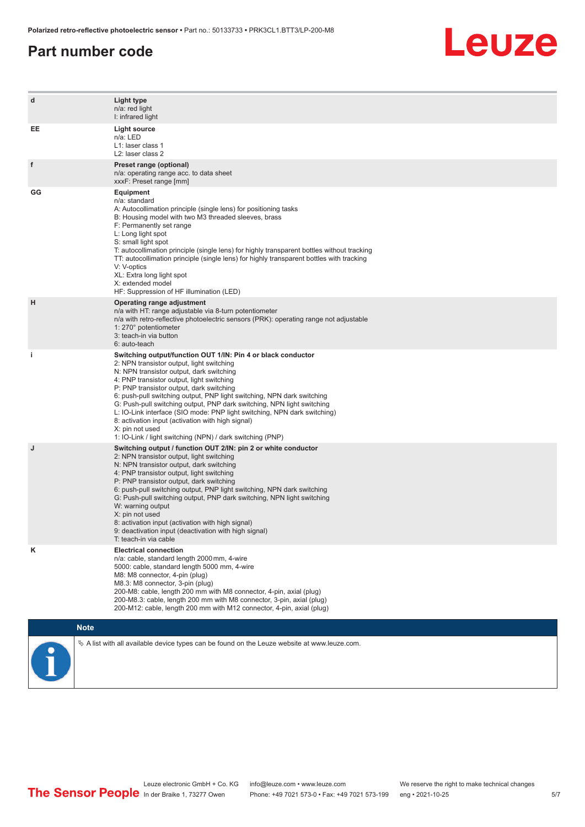#### **Part number code**



| d  | Light type<br>n/a: red light<br>I: infrared light                                                                                                                                                                                                                                                                                                                                                                                                                                                                                                                                                                   |
|----|---------------------------------------------------------------------------------------------------------------------------------------------------------------------------------------------------------------------------------------------------------------------------------------------------------------------------------------------------------------------------------------------------------------------------------------------------------------------------------------------------------------------------------------------------------------------------------------------------------------------|
| EE | <b>Light source</b><br>n/a: LED<br>L1: laser class 1<br>L2: laser class 2                                                                                                                                                                                                                                                                                                                                                                                                                                                                                                                                           |
| f  | Preset range (optional)<br>n/a: operating range acc. to data sheet<br>xxxF: Preset range [mm]                                                                                                                                                                                                                                                                                                                                                                                                                                                                                                                       |
| GG | <b>Equipment</b><br>n/a: standard<br>A: Autocollimation principle (single lens) for positioning tasks<br>B: Housing model with two M3 threaded sleeves, brass<br>F: Permanently set range<br>L: Long light spot<br>S: small light spot<br>T: autocollimation principle (single lens) for highly transparent bottles without tracking<br>TT: autocollimation principle (single lens) for highly transparent bottles with tracking<br>V: V-optics<br>XL: Extra long light spot<br>X: extended model<br>HF: Suppression of HF illumination (LED)                                                                       |
| н  | Operating range adjustment<br>n/a with HT: range adjustable via 8-turn potentiometer<br>n/a with retro-reflective photoelectric sensors (PRK): operating range not adjustable<br>1: 270° potentiometer<br>3: teach-in via button<br>6: auto-teach                                                                                                                                                                                                                                                                                                                                                                   |
| j. | Switching output/function OUT 1/IN: Pin 4 or black conductor<br>2: NPN transistor output, light switching<br>N: NPN transistor output, dark switching<br>4: PNP transistor output, light switching<br>P: PNP transistor output, dark switching<br>6: push-pull switching output, PNP light switching, NPN dark switching<br>G: Push-pull switching output, PNP dark switching, NPN light switching<br>L: IO-Link interface (SIO mode: PNP light switching, NPN dark switching)<br>8: activation input (activation with high signal)<br>X: pin not used<br>1: IO-Link / light switching (NPN) / dark switching (PNP) |
| J  | Switching output / function OUT 2/IN: pin 2 or white conductor<br>2: NPN transistor output, light switching<br>N: NPN transistor output, dark switching<br>4: PNP transistor output, light switching<br>P: PNP transistor output, dark switching<br>6: push-pull switching output, PNP light switching, NPN dark switching<br>G: Push-pull switching output, PNP dark switching, NPN light switching<br>W: warning output<br>X: pin not used<br>8: activation input (activation with high signal)<br>9: deactivation input (deactivation with high signal)<br>T: teach-in via cable                                 |
| κ  | <b>Electrical connection</b><br>n/a: cable, standard length 2000 mm, 4-wire<br>5000: cable, standard length 5000 mm, 4-wire<br>M8: M8 connector, 4-pin (plug)<br>M8.3: M8 connector, 3-pin (plug)<br>200-M8: cable, length 200 mm with M8 connector, 4-pin, axial (plug)<br>200-M8.3: cable, length 200 mm with M8 connector, 3-pin, axial (plug)<br>200-M12: cable, length 200 mm with M12 connector, 4-pin, axial (plug)                                                                                                                                                                                          |
|    | <b>Note</b>                                                                                                                                                                                                                                                                                                                                                                                                                                                                                                                                                                                                         |
|    | $\&$ A list with all available device types can be found on the Leuze website at www.leuze.com.                                                                                                                                                                                                                                                                                                                                                                                                                                                                                                                     |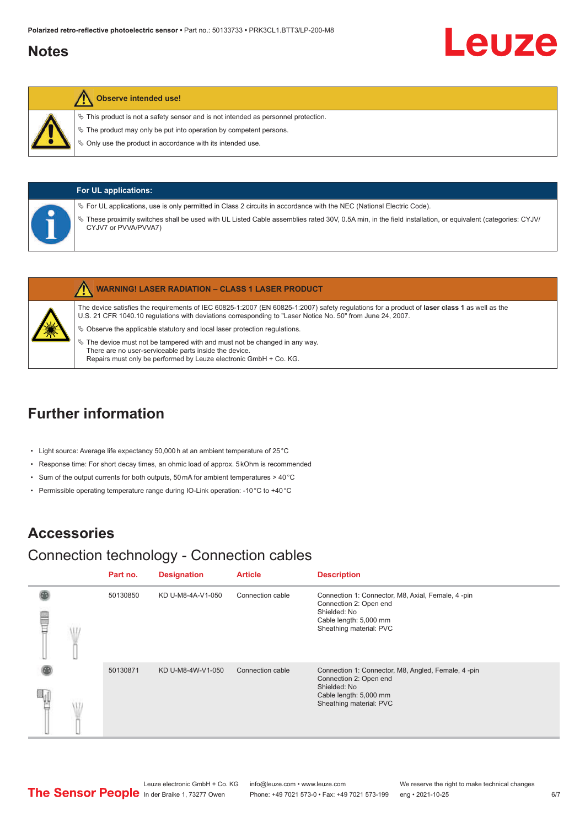#### <span id="page-5-0"></span>**Notes**

# Leuze

#### **Observe intended use!**

- $\%$  This product is not a safety sensor and is not intended as personnel protection.
- $\&$  The product may only be put into operation by competent persons.
- $\%$  Only use the product in accordance with its intended use.

| <b>For UL applications:</b>                                                                                                                                                                                                                                                                                 |
|-------------------------------------------------------------------------------------------------------------------------------------------------------------------------------------------------------------------------------------------------------------------------------------------------------------|
| $\%$ For UL applications, use is only permitted in Class 2 circuits in accordance with the NEC (National Electric Code).<br>These proximity switches shall be used with UL Listed Cable assemblies rated 30V, 0.5A min, in the field installation, or equivalent (categories: CYJV/<br>CYJV7 or PVVA/PVVA7) |

|   | <b>WARNING! LASER RADIATION - CLASS 1 LASER PRODUCT</b>                                                                                                                                                                                                    |
|---|------------------------------------------------------------------------------------------------------------------------------------------------------------------------------------------------------------------------------------------------------------|
|   | The device satisfies the requirements of IEC 60825-1:2007 (EN 60825-1:2007) safety requlations for a product of laser class 1 as well as the<br>U.S. 21 CFR 1040.10 regulations with deviations corresponding to "Laser Notice No. 50" from June 24, 2007. |
| 纂 | $\&$ Observe the applicable statutory and local laser protection regulations.                                                                                                                                                                              |
|   | $\%$ The device must not be tampered with and must not be changed in any way.<br>There are no user-serviceable parts inside the device.                                                                                                                    |

## **Further information**

- Light source: Average life expectancy 50,000 h at an ambient temperature of 25 °C
- Response time: For short decay times, an ohmic load of approx. 5 kOhm is recommended

Repairs must only be performed by Leuze electronic GmbH + Co. KG.

- Sum of the output currents for both outputs, 50 mA for ambient temperatures > 40 °C
- Permissible operating temperature range during IO-Link operation: -10 °C to +40 °C

## **Accessories**

## Connection technology - Connection cables

|   | Part no. | <b>Designation</b> | <b>Article</b>   | <b>Description</b>                                                                                                                                |
|---|----------|--------------------|------------------|---------------------------------------------------------------------------------------------------------------------------------------------------|
| ⋚ | 50130850 | KD U-M8-4A-V1-050  | Connection cable | Connection 1: Connector, M8, Axial, Female, 4 -pin<br>Connection 2: Open end<br>Shielded: No<br>Cable length: 5,000 mm<br>Sheathing material: PVC |
|   | 50130871 | KD U-M8-4W-V1-050  | Connection cable | Connection 1: Connector, M8, Angled, Female, 4-pin<br>Connection 2: Open end<br>Shielded: No<br>Cable length: 5,000 mm<br>Sheathing material: PVC |